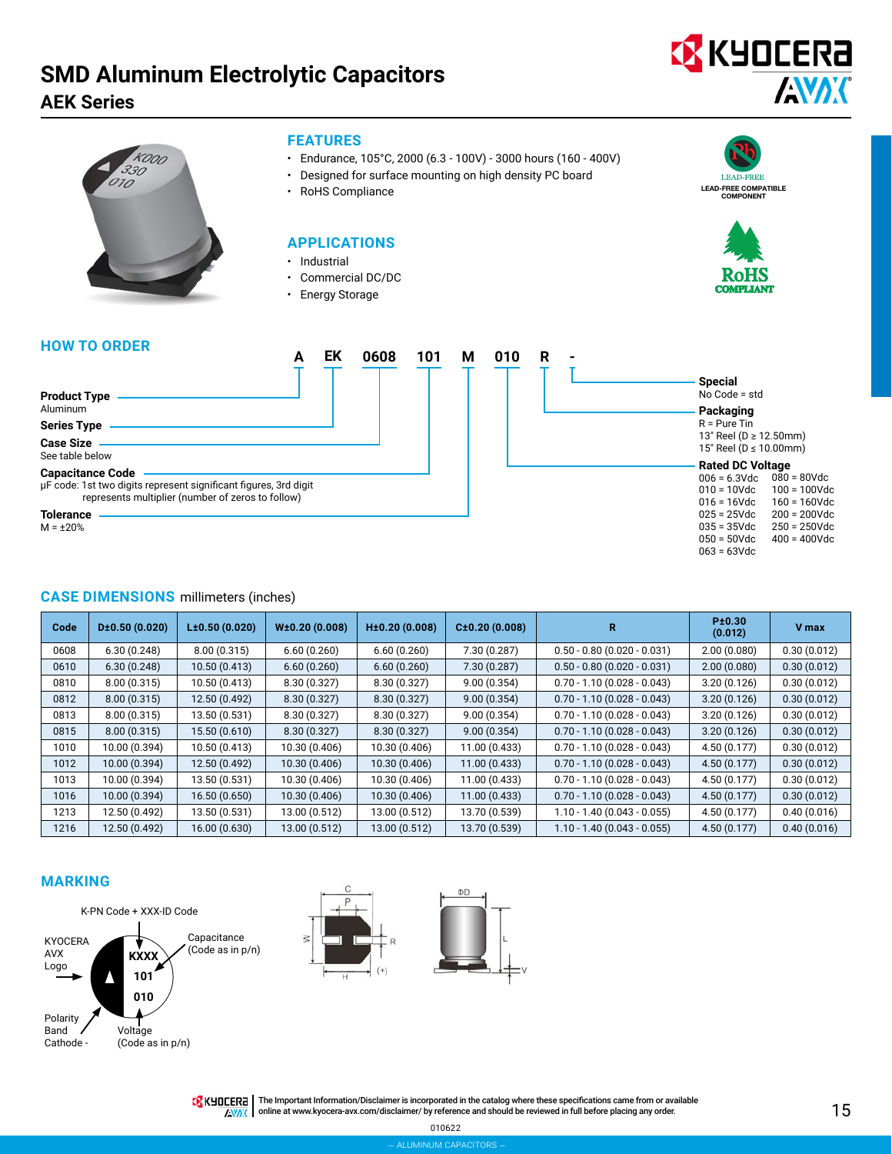# **SMD Aluminum Electrolytic Capacitors**

**AEK Series**





# **FEATURES**

- Endurance, 105°C, 2000 (6.3 100V) 3000 hours (160 400V)
- Designed for surface mounting on high density PC board
- RoHS Compliance

# **APPLICATIONS**

- Industrial
- Commercial DC/DC
- Energy Storage





# **HOW TO ORDER**

|                                                                                                                                                  |  | 0608 | 101 | М | 010 | R |  |
|--------------------------------------------------------------------------------------------------------------------------------------------------|--|------|-----|---|-----|---|--|
|                                                                                                                                                  |  |      |     |   |     |   |  |
| <b>Product Type</b><br>Aluminum                                                                                                                  |  |      |     |   |     |   |  |
| <b>Series Type</b>                                                                                                                               |  |      |     |   |     |   |  |
| <b>Case Size</b><br>See table below                                                                                                              |  |      |     |   |     |   |  |
| <b>Capacitance Code</b><br>µF code: 1st two digits represent significant figures, 3rd digit<br>represents multiplier (number of zeros to follow) |  |      |     |   |     |   |  |
| <b>Tolerance</b>                                                                                                                                 |  |      |     |   |     |   |  |

**Special** No Code = std **Packaging** R = Pure Tin 13" Reel (D ≥ 12.50mm) 15" Reel (D ≤ 10.00mm) **Rated DC Voltage**  $006 = 6.3$ Vdc 010 = 10Vdc 016 = 16Vdc 025 = 25Vdc 035 = 35Vdc 050 = 50Vdc  $063 = 63$ Vdc  $080 = 80$ Vdc 100 = 100Vdc  $160 = 160$ Vdc 200 = 200Vdc 250 = 250Vdc 400 = 400Vdc

M = ±20%

## **CASE DIMENSIONS** millimeters (inches)

| Code | D±0.50(0.020) | L±0.50(0.020) | W±0.20(0.008) | H±0.20(0.008) | C±0.20(0.008) | R                             | Pt0.30<br>(0.012) | <b>V</b> max |
|------|---------------|---------------|---------------|---------------|---------------|-------------------------------|-------------------|--------------|
| 0608 | 6.30(0.248)   | 8.00(0.315)   | 6.60(0.260)   | 6.60(0.260)   | 7.30 (0.287)  | $0.50 - 0.80$ (0.020 - 0.031) | 2.00(0.080)       | 0.30(0.012)  |
| 0610 | 6.30(0.248)   | 10.50(0.413)  | 6.60(0.260)   | 6.60(0.260)   | 7.30(0.287)   | $0.50 - 0.80$ (0.020 - 0.031) | 2.00(0.080)       | 0.30(0.012)  |
| 0810 | 8.00(0.315)   | 10.50 (0.413) | 8.30(0.327)   | 8.30 (0.327)  | 9.00(0.354)   | $0.70 - 1.10(0.028 - 0.043)$  | 3.20(0.126)       | 0.30(0.012)  |
| 0812 | 8.00(0.315)   | 12.50 (0.492) | 8.30(0.327)   | 8.30(0.327)   | 9.00(0.354)   | $0.70 - 1.10(0.028 - 0.043)$  | 3.20(0.126)       | 0.30(0.012)  |
| 0813 | 8.00(0.315)   | 13.50 (0.531) | 8.30 (0.327)  | 8.30 (0.327)  | 9.00(0.354)   | $0.70 - 1.10(0.028 - 0.043)$  | 3.20(0.126)       | 0.30(0.012)  |
| 0815 | 8.00(0.315)   | 15.50 (0.610) | 8.30(0.327)   | 8.30(0.327)   | 9.00(0.354)   | $0.70 - 1.10(0.028 - 0.043)$  | 3.20(0.126)       | 0.30(0.012)  |
| 1010 | 10.00 (0.394) | 10.50 (0.413) | 10.30 (0.406) | 10.30 (0.406) | 11.00 (0.433) | $0.70 - 1.10(0.028 - 0.043)$  | 4.50 (0.177)      | 0.30(0.012)  |
| 1012 | 10.00 (0.394) | 12.50 (0.492) | 10.30 (0.406) | 10.30 (0.406) | 11.00(0.433)  | $0.70 - 1.10(0.028 - 0.043)$  | 4.50(0.177)       | 0.30(0.012)  |
| 1013 | 10.00 (0.394) | 13.50 (0.531) | 10.30 (0.406) | 10.30 (0.406) | 11.00 (0.433) | $0.70 - 1.10(0.028 - 0.043)$  | 4.50(0.177)       | 0.30(0.012)  |
| 1016 | 10.00 (0.394) | 16.50 (0.650) | 10.30 (0.406) | 10.30 (0.406) | 11.00 (0.433) | $0.70 - 1.10(0.028 - 0.043)$  | 4.50(0.177)       | 0.30(0.012)  |
| 1213 | 12.50 (0.492) | 13.50 (0.531) | 13.00 (0.512) | 13.00 (0.512) | 13.70 (0.539) | $1.10 - 1.40(0.043 - 0.055)$  | 4.50(0.177)       | 0.40(0.016)  |
| 1216 | 12.50 (0.492) | 16.00 (0.630) | 13.00 (0.512) | 13.00 (0.512) | 13.70 (0.539) | $1.10 - 1.40(0.043 - 0.055)$  | 4.50(0.177)       | 0.40(0.016)  |

## **MARKING**







010622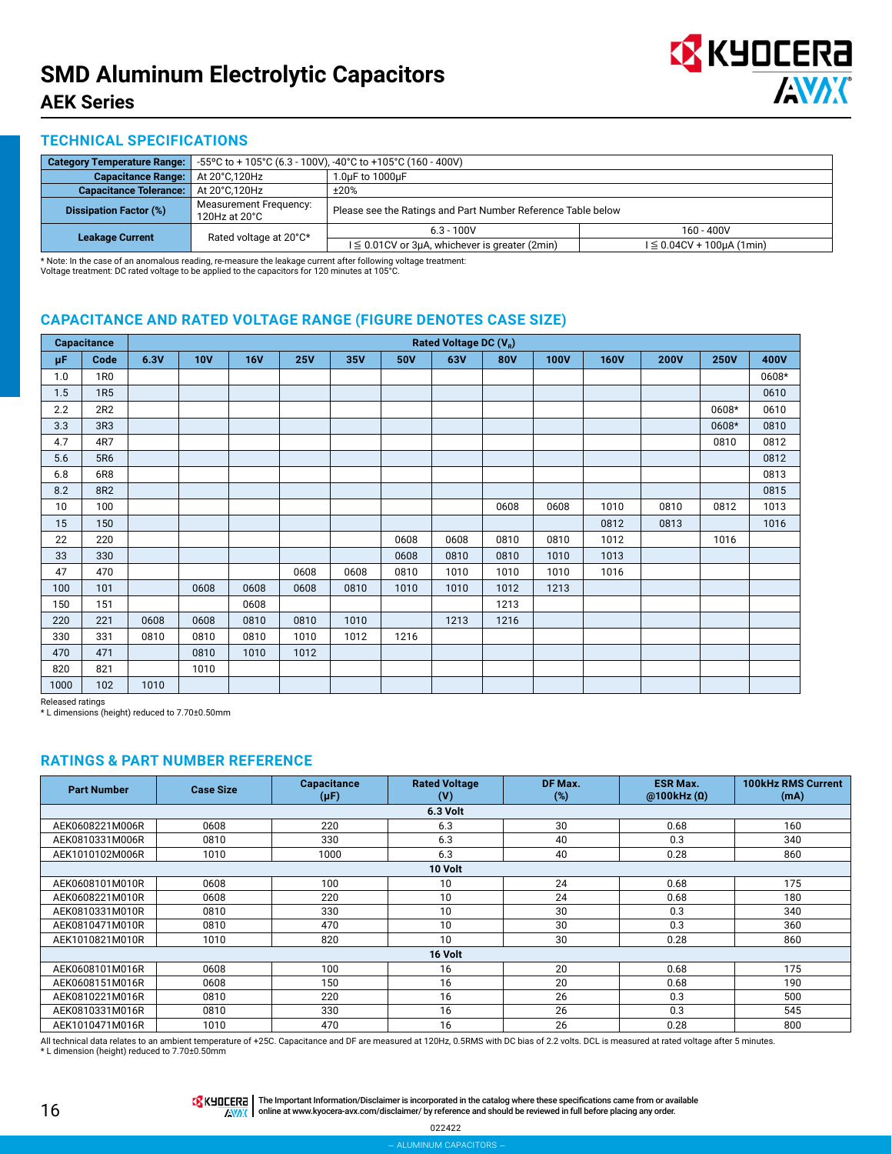

## **TECHNICAL SPECIFICATIONS**

| <b>Category Temperature Range:</b> |                                                                                                                     | -55°C to + 105°C (6.3 - 100V), -40°C to +105°C (160 - 400V)  |              |  |  |  |  |
|------------------------------------|---------------------------------------------------------------------------------------------------------------------|--------------------------------------------------------------|--------------|--|--|--|--|
| <b>Capacitance Range:</b>          | At 20°C,120Hz                                                                                                       | 1.0uF to 1000uF                                              |              |  |  |  |  |
| <b>Capacitance Tolerance:</b>      | At 20°C.120Hz                                                                                                       | ±20%                                                         |              |  |  |  |  |
| <b>Dissipation Factor (%)</b>      | <b>Measurement Frequency:</b><br>120Hz at $20^{\circ}$ C                                                            | Please see the Ratings and Part Number Reference Table below |              |  |  |  |  |
| <b>Leakage Current</b>             |                                                                                                                     | $6.3 - 100V$                                                 | $160 - 400V$ |  |  |  |  |
|                                    | Rated voltage at 20°C*<br>$l \leq 0.01$ CV or 3µA, whichever is greater (2min)<br>$I \leq 0.04CV + 100\mu A (1min)$ |                                                              |              |  |  |  |  |

\* Note: In the case of an anomalous reading, re-measure the leakage current after following voltage treatment: Voltage treatment: DC rated voltage to be applied to the capacitors for 120 minutes at 105°C.

# **CAPACITANCE AND RATED VOLTAGE RANGE (FIGURE DENOTES CASE SIZE)**

|      | <b>Capacitance</b> | Rated Voltage DC (V <sub>B</sub> ) |            |            |            |      |      |      |            |             |             |             |             |       |
|------|--------------------|------------------------------------|------------|------------|------------|------|------|------|------------|-------------|-------------|-------------|-------------|-------|
| μF   | Code               | 6.3V                               | <b>10V</b> | <b>16V</b> | <b>25V</b> | 35V  | 50V  | 63V  | <b>80V</b> | <b>100V</b> | <b>160V</b> | <b>200V</b> | <b>250V</b> | 400V  |
| 1.0  | 1 <sub>R0</sub>    |                                    |            |            |            |      |      |      |            |             |             |             |             | 0608* |
| 1.5  | <b>1R5</b>         |                                    |            |            |            |      |      |      |            |             |             |             |             | 0610  |
| 2.2  | 2R2                |                                    |            |            |            |      |      |      |            |             |             |             | 0608*       | 0610  |
| 3.3  | 3R3                |                                    |            |            |            |      |      |      |            |             |             |             | 0608*       | 0810  |
| 4.7  | 4R7                |                                    |            |            |            |      |      |      |            |             |             |             | 0810        | 0812  |
| 5.6  | 5R6                |                                    |            |            |            |      |      |      |            |             |             |             |             | 0812  |
| 6.8  | 6R8                |                                    |            |            |            |      |      |      |            |             |             |             |             | 0813  |
| 8.2  | 8R2                |                                    |            |            |            |      |      |      |            |             |             |             |             | 0815  |
| 10   | 100                |                                    |            |            |            |      |      |      | 0608       | 0608        | 1010        | 0810        | 0812        | 1013  |
| 15   | 150                |                                    |            |            |            |      |      |      |            |             | 0812        | 0813        |             | 1016  |
| 22   | 220                |                                    |            |            |            |      | 0608 | 0608 | 0810       | 0810        | 1012        |             | 1016        |       |
| 33   | 330                |                                    |            |            |            |      | 0608 | 0810 | 0810       | 1010        | 1013        |             |             |       |
| 47   | 470                |                                    |            |            | 0608       | 0608 | 0810 | 1010 | 1010       | 1010        | 1016        |             |             |       |
| 100  | 101                |                                    | 0608       | 0608       | 0608       | 0810 | 1010 | 1010 | 1012       | 1213        |             |             |             |       |
| 150  | 151                |                                    |            | 0608       |            |      |      |      | 1213       |             |             |             |             |       |
| 220  | 221                | 0608                               | 0608       | 0810       | 0810       | 1010 |      | 1213 | 1216       |             |             |             |             |       |
| 330  | 331                | 0810                               | 0810       | 0810       | 1010       | 1012 | 1216 |      |            |             |             |             |             |       |
| 470  | 471                |                                    | 0810       | 1010       | 1012       |      |      |      |            |             |             |             |             |       |
| 820  | 821                |                                    | 1010       |            |            |      |      |      |            |             |             |             |             |       |
| 1000 | 102                | 1010                               |            |            |            |      |      |      |            |             |             |             |             |       |

Released ratings

\* L dimensions (height) reduced to 7.70±0.50mm

# **RATINGS & PART NUMBER REFERENCE**

| <b>Part Number</b> | <b>Case Size</b> | Capacitance<br>$(\mu F)$ | <b>Rated Voltage</b><br>(V) | DF Max.<br>(%) | <b>ESR Max.</b><br>@100kHz(0) | <b>100kHz RMS Current</b><br>(mA) |  |  |  |
|--------------------|------------------|--------------------------|-----------------------------|----------------|-------------------------------|-----------------------------------|--|--|--|
|                    |                  |                          | 6.3 Volt                    |                |                               |                                   |  |  |  |
| AEK0608221M006R    | 0608             | 220                      | 6.3                         | 30             | 0.68                          | 160                               |  |  |  |
| AEK0810331M006R    | 0810             | 330                      | 6.3                         | 40             | 0.3                           | 340                               |  |  |  |
| AEK1010102M006R    | 1010             | 1000                     | 6.3                         | 40             | 0.28                          | 860                               |  |  |  |
| 10 Volt            |                  |                          |                             |                |                               |                                   |  |  |  |
| AEK0608101M010R    | 0608             | 100                      | 10                          | 24             | 0.68                          | 175                               |  |  |  |
| AEK0608221M010R    | 0608             | 220                      | 10                          | 24             | 0.68                          | 180                               |  |  |  |
| AEK0810331M010R    | 0810             | 330                      | 10                          | 30             | 0.3                           | 340                               |  |  |  |
| AEK0810471M010R    | 0810             | 470                      | 10                          | 30             | 0.3                           | 360                               |  |  |  |
| AEK1010821M010R    | 1010             | 820                      | 10                          | 30             | 0.28                          | 860                               |  |  |  |
|                    |                  |                          | 16 Volt                     |                |                               |                                   |  |  |  |
| AEK0608101M016R    | 0608             | 100                      | 16                          | 20             | 0.68                          | 175                               |  |  |  |
| AEK0608151M016R    | 0608             | 150                      | 16                          | 20             | 0.68                          | 190                               |  |  |  |
| AEK0810221M016R    | 0810             | 220                      | 16                          | 26             | 0.3                           | 500                               |  |  |  |
| AEK0810331M016R    | 0810             | 330                      | 16                          | 26             | 0.3                           | 545                               |  |  |  |
| AEK1010471M016R    | 1010             | 470                      | 16                          | 26             | 0.28                          | 800                               |  |  |  |

All technical data relates to an ambient temperature of +25C. Capacitance and DF are measured at 120Hz, 0.5RMS with DC bias of 2.2 volts. DCL is measured at rated voltage after 5 minutes.<br>\* L dimension (height) reduced to

THE IMPO THE Important Information/Disclaimer is incorporated in the catalog where these specifications came from or available AVAX online at [www.kyocera-avx.com/disclaimer/](http://www.kyocera-avx.com/disclaimer/) by reference and should be reviewed in full before placing any order.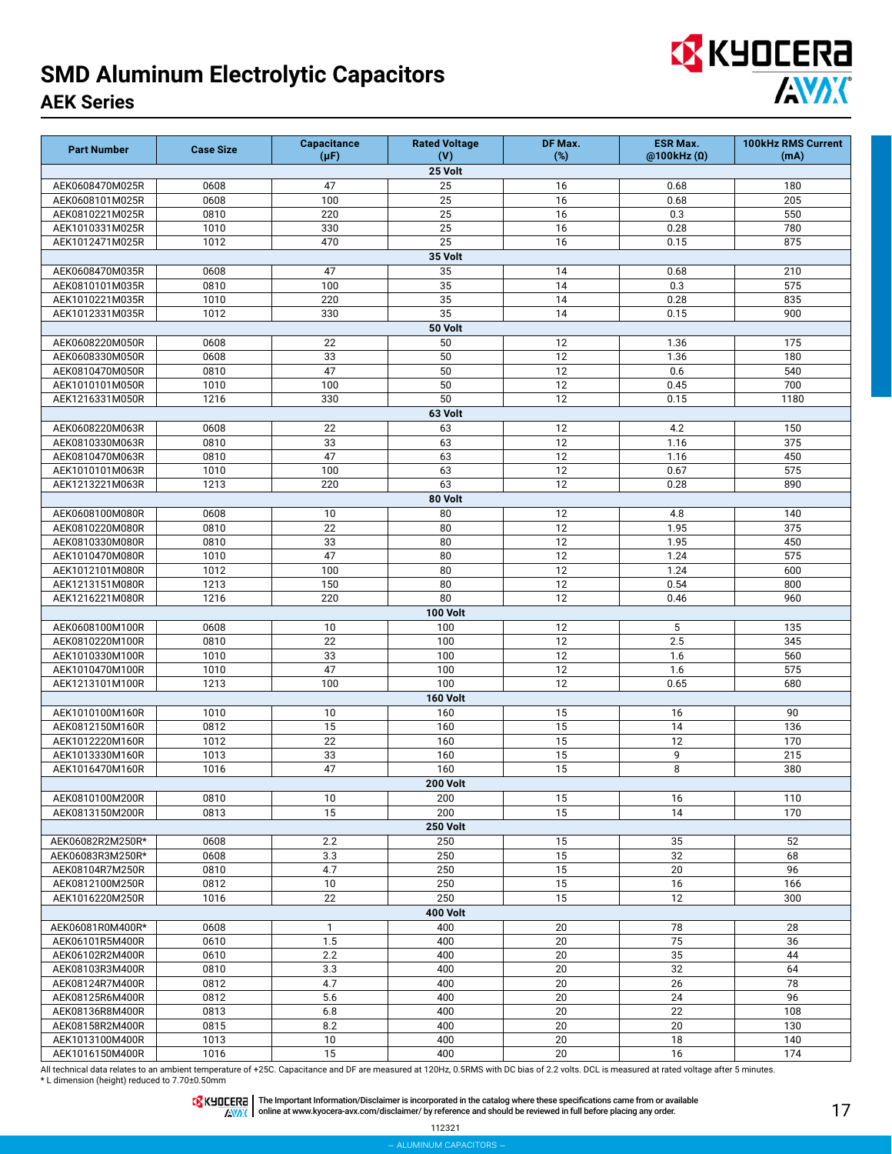| <b>EX</b> KYOCERA |  |            |
|-------------------|--|------------|
|                   |  | <b>AVX</b> |

| <b>Part Number</b>                 | <b>Case Size</b> | <b>Capacitance</b><br>$(\mu F)$ | <b>Rated Voltage</b><br>(V) | DF Max.<br>$(\%)$ | <b>ESR Max.</b><br>@100kHz(0) | 100kHz RMS Current<br>(mA) |
|------------------------------------|------------------|---------------------------------|-----------------------------|-------------------|-------------------------------|----------------------------|
|                                    |                  |                                 | 25 Volt                     |                   |                               |                            |
| AEK0608470M025R                    | 0608             | 47                              | 25                          | 16                | 0.68                          | 180                        |
| AEK0608101M025R                    | 0608             | 100                             | 25                          | 16                | 0.68                          | 205                        |
| AEK0810221M025R                    | 0810             | 220                             | 25                          | 16                | 0.3                           | 550                        |
| AEK1010331M025R                    | 1010             | 330                             | 25                          | 16                | 0.28                          | 780                        |
| AEK1012471M025R                    | 1012             | 470                             | 25                          | 16                | 0.15                          | 875                        |
|                                    |                  |                                 | 35 Volt                     |                   |                               |                            |
| AEK0608470M035R                    | 0608             | 47                              | 35                          | 14                | 0.68                          | 210                        |
| AEK0810101M035R                    | 0810             | 100                             | 35                          | 14                | 0.3                           | 575                        |
| AEK1010221M035R                    | 1010             | 220                             | 35                          | 14                | 0.28                          | 835                        |
| AEK1012331M035R                    | 1012             | 330                             | 35                          | 14                | 0.15                          | 900                        |
|                                    |                  |                                 | 50 Volt                     |                   |                               |                            |
| AEK0608220M050R                    | 0608             | 22                              | 50                          | 12                | 1.36                          | 175<br>180                 |
| AEK0608330M050R<br>AEK0810470M050R | 0608<br>0810     | 33<br>47                        | 50<br>50                    | 12<br>12          | 1.36<br>0.6                   | 540                        |
| AEK1010101M050R                    | 1010             | 100                             | 50                          | 12                | 0.45                          | 700                        |
| AEK1216331M050R                    | 1216             | 330                             | 50                          | 12                | 0.15                          | 1180                       |
|                                    |                  |                                 | 63 Volt                     |                   |                               |                            |
| AEK0608220M063R                    | 0608             | 22                              | 63                          | 12                | 4.2                           | 150                        |
| AEK0810330M063R                    | 0810             | 33                              | 63                          | 12                | 1.16                          | 375                        |
| AEK0810470M063R                    | 0810             | 47                              | 63                          | $\overline{12}$   | 1.16                          | 450                        |
| AEK1010101M063R                    | 1010             | 100                             | 63                          | 12                | 0.67                          | 575                        |
| AEK1213221M063R                    | 1213             | 220                             | 63                          | 12                | 0.28                          | 890                        |
|                                    |                  |                                 | 80 Volt                     |                   |                               |                            |
| AEK0608100M080R                    | 0608             | 10                              | 80                          | 12                | 4.8                           | 140                        |
| AEK0810220M080R                    | 0810             | 22                              | 80                          | 12                | 1.95                          | 375                        |
| AEK0810330M080R                    | 0810             | 33                              | 80                          | 12                | 1.95                          | 450                        |
| AEK1010470M080R                    | 1010             | 47                              | 80                          | 12                | 1.24                          | 575                        |
| AEK1012101M080R                    | 1012             | 100                             | 80                          | $\overline{12}$   | 1.24                          | 600                        |
| AEK1213151M080R                    | 1213             | 150                             | 80                          | 12                | 0.54                          | 800                        |
| AEK1216221M080R                    | 1216             | 220                             | 80                          | 12                | 0.46                          | 960                        |
|                                    |                  |                                 | <b>100 Volt</b>             |                   |                               |                            |
| AEK0608100M100R                    | 0608             | 10                              | 100                         | 12                | 5                             | 135                        |
| AEK0810220M100R                    | 0810             | 22                              | 100                         | 12                | 2.5                           | 345                        |
| AEK1010330M100R                    | 1010             | 33                              | 100                         | 12                | 1.6                           | 560                        |
| AEK1010470M100R                    | 1010             | 47                              | 100                         | 12                | 1.6                           | 575                        |
| AEK1213101M100R                    | 1213             | 100                             | 100                         | 12                | 0.65                          | 680                        |
|                                    |                  |                                 | 160 Volt                    |                   |                               |                            |
| AEK1010100M160R<br>AEK0812150M160R | 1010<br>0812     | 10<br>15                        | 160<br>160                  | 15<br>15          | 16<br>14                      | 90<br>136                  |
| AEK1012220M160R                    | 1012             | 22                              | 160                         | 15                | 12                            | 170                        |
| AEK1013330M160R                    | 1013             | 33                              | 160                         | 15                | 9                             | 215                        |
| AEK1016470M160R                    | 1016             | 47                              | 160                         | 15                | 8                             | 380                        |
|                                    |                  |                                 | <b>200 Volt</b>             |                   |                               |                            |
| AEK0810100M200R                    | 0810             | 10                              | 200                         | 15                | 16                            | 110                        |
| AEK0813150M200R                    | 0813             | 15                              | 200                         | 15                | 14                            | 170                        |
|                                    |                  |                                 | <b>250 Volt</b>             |                   |                               |                            |
| AEK06082R2M250R*                   | 0608             | 2.2                             | 250                         | 15                | 35                            | 52                         |
| AEK06083R3M250R*                   | 0608             | 3.3                             | 250                         | 15                | 32                            | 68                         |
| AEK08104R7M250R                    | 0810             | 4.7                             | 250                         | 15                | 20                            | 96                         |
| AEK0812100M250R                    | 0812             | 10                              | 250                         | 15                | 16                            | 166                        |
| AEK1016220M250R                    | 1016             | 22                              | 250                         | 15                | 12                            | 300                        |
|                                    |                  |                                 | <b>400 Volt</b>             |                   |                               |                            |
| AEK06081R0M400R*                   | 0608             | $\mathbf{1}$                    | 400                         | 20                | 78                            | 28                         |
| AEK06101R5M400R                    | 0610             | 1.5                             | 400                         | 20                | 75                            | 36                         |
| AEK06102R2M400R                    | 0610             | 2.2                             | 400                         | 20                | 35                            | 44                         |
| AEK08103R3M400R                    | 0810             | 3.3                             | 400                         | 20                | 32                            | 64                         |
| AEK08124R7M400R                    | 0812             | 4.7                             | 400                         | 20                | 26                            | 78                         |
| AEK08125R6M400R                    | 0812             | 5.6                             | 400                         | $\overline{20}$   | 24                            | 96                         |
| AEK08136R8M400R                    | 0813             | 6.8                             | 400                         | 20                | 22                            | 108                        |
| AEK08158R2M400R                    | 0815             | 8.2                             | 400                         | 20                | 20                            | 130                        |
| AEK1013100M400R                    | 1013             | 10                              | 400                         | 20                | 18                            | 140                        |
| AEK1016150M400R                    | 1016             | 15                              | 400                         | 20                | 16                            | 174                        |

All technical data relates to an ambient temperature of +25C. Capacitance and DF are measured at 120Hz, 0.5RMS with DC bias of 2.2 volts. DCL is measured at rated voltage after 5 minutes.<br>\* L dimension (height) reduced to

The Important Information/Disclaimer is incorporated in the catalog where these specifications came from or available<br>online at [www.kyocera-avx.com/disclaimer/](http://www.kyocera-avx.com/disclaimer/) by reference and should be reviewed in full before placing any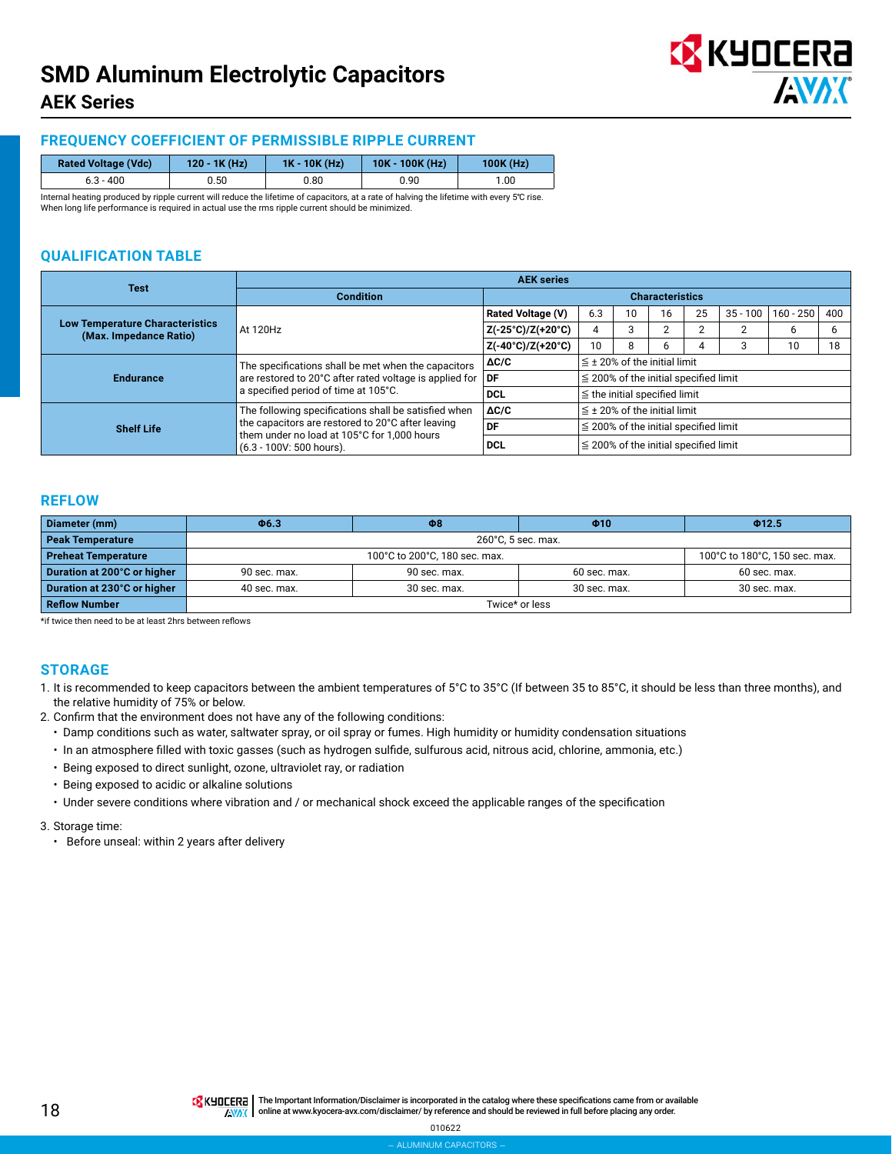

# **FREQUENCY COEFFICIENT OF PERMISSIBLE RIPPLE CURRENT**

| <b>Rated Voltage (Vdc)</b> | $120 - 1K(Hz)$ | $1K - 10K$ (Hz) | $10K - 100K (Hz)$ | $100K$ (Hz) |
|----------------------------|----------------|-----------------|-------------------|-------------|
| $6.3 - 400$                | ง.50           | 0.80            | 0.90              | 00. ا       |

Internal heating produced by ripple current will reduce the lifetime of capacitors, at a rate of halving the lifetime with every 5℃ rise. When long life performance is required in actual use the rms ripple current should be minimized.

# **QUALIFICATION TABLE**

| <b>Test</b>                                                      |                                                                         | <b>AEK series</b>                 |                                            |                                   |    |    |            |           |     |  |  |
|------------------------------------------------------------------|-------------------------------------------------------------------------|-----------------------------------|--------------------------------------------|-----------------------------------|----|----|------------|-----------|-----|--|--|
|                                                                  | <b>Condition</b>                                                        | <b>Characteristics</b>            |                                            |                                   |    |    |            |           |     |  |  |
| <b>Low Temperature Characteristics</b><br>(Max. Impedance Ratio) |                                                                         | <b>Rated Voltage (V)</b>          | 6.3                                        | 10                                | 16 | 25 | $35 - 100$ | 160 - 250 | 400 |  |  |
|                                                                  | At 120Hz                                                                | Z(-25°C)/Z(+20°C)                 | 4                                          | З                                 | c  |    |            | b         | 6   |  |  |
|                                                                  |                                                                         | $Z(-40^{\circ}C)/Z(+20^{\circ}C)$ | 10                                         | 8                                 | 6  |    |            | 10        | 18  |  |  |
|                                                                  | The specifications shall be met when the capacitors                     | $\Delta C/C$                      |                                            | $\leq$ ± 20% of the initial limit |    |    |            |           |     |  |  |
| <b>Endurance</b>                                                 | are restored to 20°C after rated voltage is applied for                 | l DF                              | $\leq$ 200% of the initial specified limit |                                   |    |    |            |           |     |  |  |
|                                                                  | a specified period of time at 105°C.                                    | <b>DCL</b>                        | $\leq$ the initial specified limit         |                                   |    |    |            |           |     |  |  |
| <b>Shelf Life</b>                                                | The following specifications shall be satisfied when                    | $\Delta C/C$                      |                                            | $\leq$ ± 20% of the initial limit |    |    |            |           |     |  |  |
|                                                                  | the capacitors are restored to 20°C after leaving                       | DF                                | $\leq$ 200% of the initial specified limit |                                   |    |    |            |           |     |  |  |
|                                                                  | them under no load at 105°C for 1,000 hours<br>(6.3 - 100V: 500 hours). | <b>DCL</b>                        | $\leq$ 200% of the initial specified limit |                                   |    |    |            |           |     |  |  |

#### **REFLOW**

| Diameter (mm)               | $\Phi$ 6.3                                                     | $\Phi$ 8           | $\Phi$ 10    | Φ12.5        |  |  |  |  |  |  |
|-----------------------------|----------------------------------------------------------------|--------------------|--------------|--------------|--|--|--|--|--|--|
| <b>Peak Temperature</b>     |                                                                | 260°C, 5 sec. max. |              |              |  |  |  |  |  |  |
| <b>Preheat Temperature</b>  | 100°C to 180°C, 150 sec. max.<br>100°C to 200°C, 180 sec. max. |                    |              |              |  |  |  |  |  |  |
| Duration at 200°C or higher | 90 sec. max.                                                   | 90 sec. max.       | 60 sec. max. | 60 sec. max. |  |  |  |  |  |  |
| Duration at 230°C or higher | 40 sec. max.                                                   | 30 sec. max.       | 30 sec. max. |              |  |  |  |  |  |  |
| <b>Reflow Number</b>        | Twice* or less                                                 |                    |              |              |  |  |  |  |  |  |

\*if twice then need to be at least 2hrs between reflows

#### **STORAGE**

- 1. It is recommended to keep capacitors between the ambient temperatures of 5°C to 35°C (If between 35 to 85°C, it should be less than three months), and the relative humidity of 75% or below.
- 2. Confirm that the environment does not have any of the following conditions:
	- Damp conditions such as water, saltwater spray, or oil spray or fumes. High humidity or humidity condensation situations
	- In an atmosphere filled with toxic gasses (such as hydrogen sulfide, sulfurous acid, nitrous acid, chlorine, ammonia, etc.)
	- Being exposed to direct sunlight, ozone, ultraviolet ray, or radiation
	- Being exposed to acidic or alkaline solutions
	- Under severe conditions where vibration and / or mechanical shock exceed the applicable ranges of the specification

#### 3. Storage time:

• Before unseal: within 2 years after delivery

THE Important Information/Disclaimer is incorporated in the catalog where these specifications came from or available **AWAX** online at [www.kyocera-avx.com/disclaimer/](http://www.kyocera-avx.com/disclaimer/) by reference and should be reviewed in full before placing any order.

010622